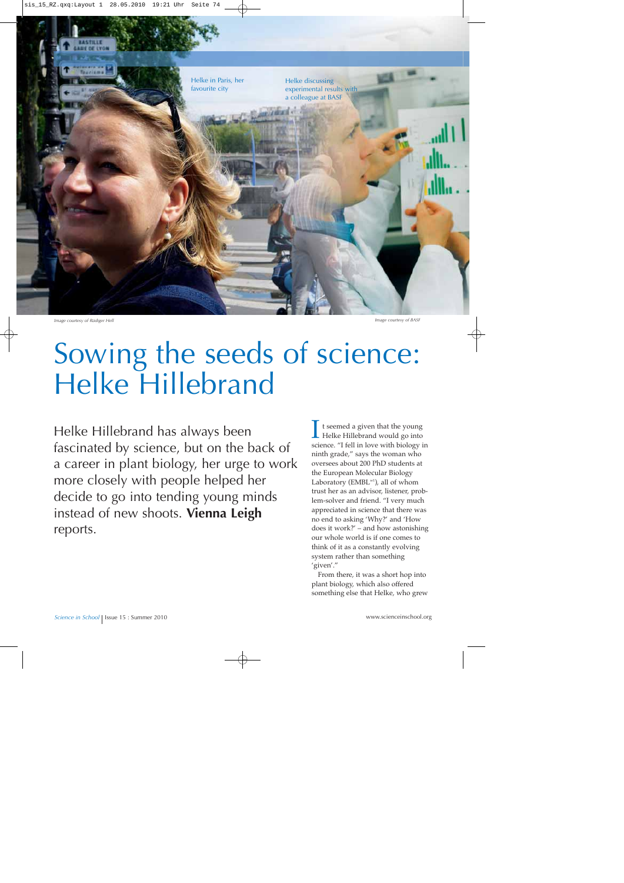

*Image courtesy of Rüdiger Hell*

*Image courtesy of BASF*

## Sowing the seeds of science: Helke Hillebrand

Helke Hillebrand has always been fascinated by science, but on the back of a career in plant biology, her urge to work more closely with people helped her decide to go into tending young minds instead of new shoots. **Vienna Leigh** reports.

It seemed a given that the young<br>Helke Hillebrand would go into<br>science "I fell in love with biology science. "I fell in love with biology in ninth grade," says the woman who oversees about 200 PhD students at the European Molecular Biology Laboratory (EMBL<sup>w1</sup>), all of whom trust her as an advisor, listener, problem-solver and friend. "I very much appreciated in science that there was no end to asking 'Why?' and 'How does it work?' – and how astonishing our whole world is if one comes to think of it as a constantly evolving system rather than something 'given'."

From there, it was a short hop into plant biology, which also offered something else that Helke, who grew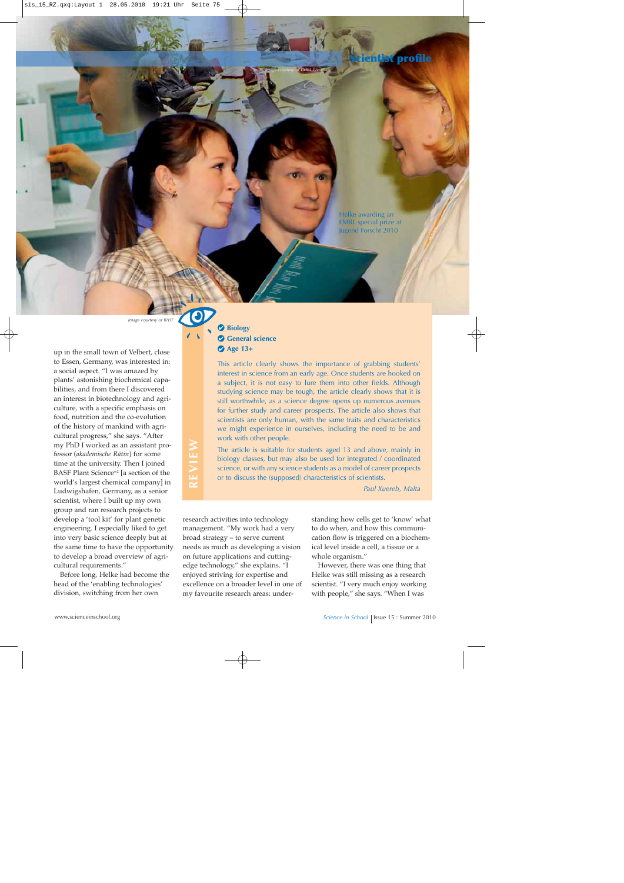

Helke awarding an EMBL special prize at Jugend Forscht 2010

*Image courtesy of BASF*

**REVIEW**

REVIEW

up in the small town of Velbert, close to Essen, Germany, was interested in: a social aspect. "I was amazed by plants' astonishing biochemical capabilities, and from there I discovered an interest in biotechnology and agriculture, with a specific emphasis on food, nutrition and the co-evolution of the history of mankind with agricultural progress," she says. "After my PhD I worked as an assistant professor (*akademische Rätin*) for some time at the university. Then I joined BASF Plant Science<sup>w2</sup> [a section of the world's largest chemical company] in Ludwigshafen, Germany, as a senior scientist, where I built up my own group and ran research projects to develop a 'tool kit' for plant genetic engineering. I especially liked to get into very basic science deeply but at the same time to have the opportunity to develop a broad overview of agricultural requirements."

Before long, Helke had become the head of the 'enabling technologies' division, switching from her own

## **Biology General science Age 13+**

This article clearly shows the importance of grabbing students' interest in science from an early age. Once students are hooked on a subject, it is not easy to lure them into other fields. Although studying science may be tough, the article clearly shows that it is still worthwhile, as a science degree opens up numerous avenues for further study and career prospects. The article also shows that scientists are only human, with the same traits and characteristics we might experience in ourselves, including the need to be and work with other people.

*Image courtesy of EMBL Photolab*

The article is suitable for students aged 13 and above, mainly in biology classes, but may also be used for integrated / coordinated science, or with any science students as a model of career prospects or to discuss the (supposed) characteristics of scientists.

*Paul Xuereb, Malta*

research activities into technology management. "My work had a very broad strategy – to serve current needs as much as developing a vision on future applications and cuttingedge technology," she explains. "I enjoyed striving for expertise and excellence on a broader level in one of my favourite research areas: under-

standing how cells get to 'know' what to do when, and how this communication flow is triggered on a biochemical level inside a cell, a tissue or a whole organism."

However, there was one thing that Helke was still missing as a research scientist. "I very much enjoy working with people," she says. "When I was